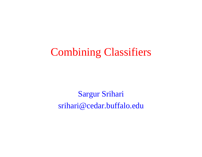## Combining Classifiers

Sargur Srihari srihari@cedar.buffalo.edu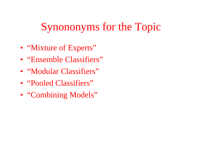# Synononyms for the Topic

- "Mixture of Experts"
- "Ensemble Classifiers"
- "Modular Classifiers"
- "Pooled Classifiers"
- "Combining Models"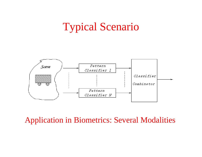# Typical Scenario



Application in Biometrics: Several Modalities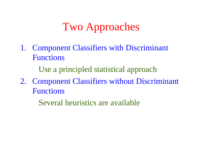# Two Approaches

1. Component Classifiers with Discriminant Functions

Use a principled statistical approach

2. Component Classifiers without Discriminant Functions

Several heuristics are available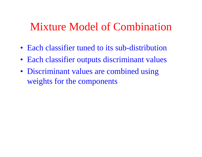## Mixture Model of Combination

- Each classifier tuned to its sub-distribution
- Each classifier outputs discriminant values
- Discriminant values are combined using weights for the components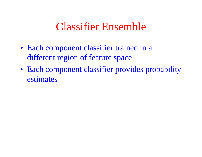## Classifier Ensemble

- Each component classifier trained in a different region of feature space
- Each component classifier provides probability estimates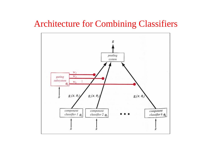### Architecture for Combining Classifiers

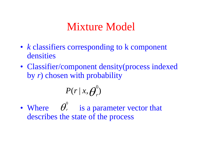## Mixture Model

- *k* classifiers corresponding to k component densities
- Classifier/component density(process indexed by *<sup>r</sup>*) chosen with probability

$$
P(r \,|\, x, \boldsymbol{\theta}_r^0)
$$

• Where  $\theta_r^0$  is a parameter vector that describes the state of the process *r*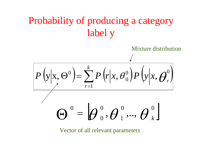#### Probability of producing a category is the sum over all the processes according to:  $\mathbf{1} \cdot \mathbf{1} \cdot \mathbf{1} \cdot \mathbf{1} \cdot \mathbf{1}$ label y

Mixture distribution



Vector of all relevant parameters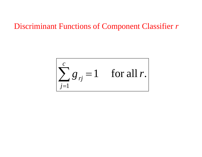### Discriminant Functions of Component Classifier *<sup>r</sup>*

$$
\sum_{j=1}^c g_{rj} = 1 \quad \text{for all } r.
$$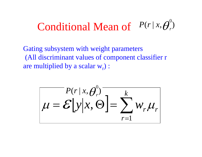#### $(r | x, \boldsymbol{\beta})$ **Conditional Mean of**  $P(r|x, \theta)$

Gating subsystem with weight parameters (All discriminant values of component classifier r are multiplied by a scalar  $w_r$ ) :

$$
\mu = \mathcal{E}[y|x,\theta^0_r] = \sum_{r=1}^k w_r \mu_r
$$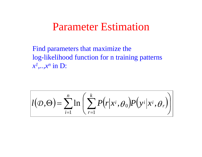### Parameter Estimation

Find parameters that maximize the log-likelihood function for n training patterns *x 1,..,x n* in D:

$$
l(\mathcal{D}, \Theta) = \sum_{i=1}^{n} \ln \left( \sum_{r=1}^{k} P(r | x^{i}, \theta_{0}) P(y^{i} | x^{i}, \theta_{r}) \right)
$$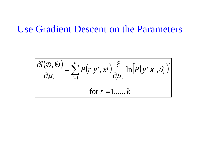### Use Gradient Descent on the Parameters

$$
\frac{\partial l(D, \Theta)}{\partial \mu_r} = \sum_{i=1}^n P(r|y^i, x^i) \frac{\partial}{\partial \mu_r} \ln[P(y^i|x^i, \theta_r)]
$$
  
for  $r = 1, ..., k$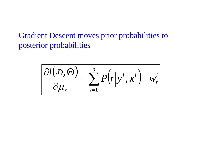### Gradient Descent moves prior probabilities to posterior probabilities

$$
\frac{\partial l(D,\Theta)}{\partial \mu_r} = \sum_{i=1}^n P(r|y^i, x^i) - w_r^i
$$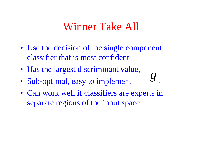## Winner Take All

 $g<sub>rj</sub>$ 

- Use the decision of the single component classifier that is most confident
- Has the largest discriminant value,
- Sub-optimal, easy to implement
- Can work well if classifiers are experts in separate regions of the input space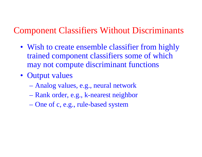### Component Classifiers Without Discriminants

- Wish to create ensemble classifier from highly trained component classifiers some of which may not compute discriminant functions
- Output values
	- Analog values, e.g., neural network
	- Rank order, e.g., k-nearest neighbor
	- One of c, e.g., rule-based system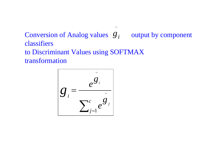### Conversion of Analog values  $g_i$  output by component classifiers to Discriminant Values using SOFTMAX transformation

~

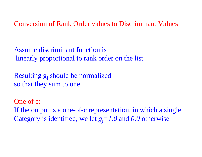Conversion of Rank Order values to Discriminant Values

Assume discriminant function islinearly proportional to rank order on the list

Resulting  $g_i$  should be normalized so that they sum to one

One of c:

If the output is a one-of-c representation, in which a single Category is identified, we let *gj=1.0* and *0.0* otherwise